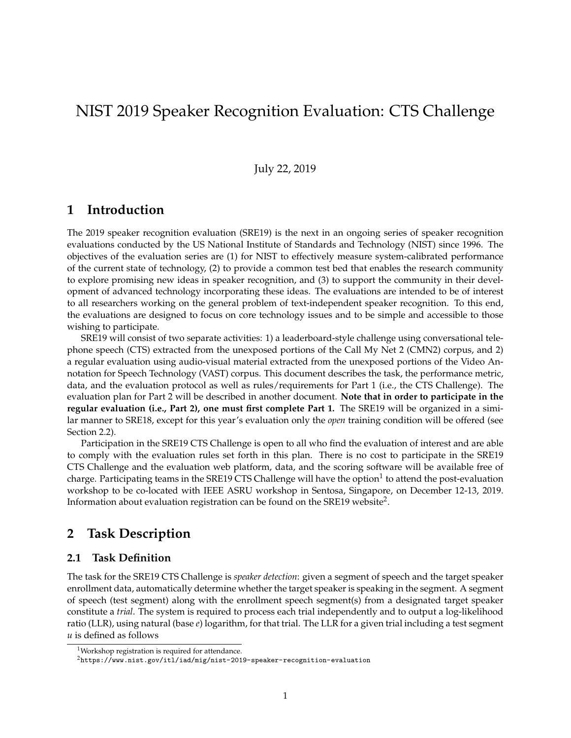# NIST 2019 Speaker Recognition Evaluation: CTS Challenge

#### July 22, 2019

## **1 Introduction**

The 2019 speaker recognition evaluation (SRE19) is the next in an ongoing series of speaker recognition evaluations conducted by the US National Institute of Standards and Technology (NIST) since 1996. The objectives of the evaluation series are (1) for NIST to effectively measure system-calibrated performance of the current state of technology, (2) to provide a common test bed that enables the research community to explore promising new ideas in speaker recognition, and (3) to support the community in their development of advanced technology incorporating these ideas. The evaluations are intended to be of interest to all researchers working on the general problem of text-independent speaker recognition. To this end, the evaluations are designed to focus on core technology issues and to be simple and accessible to those wishing to participate.

SRE19 will consist of two separate activities: 1) a leaderboard-style challenge using conversational telephone speech (CTS) extracted from the unexposed portions of the Call My Net 2 (CMN2) corpus, and 2) a regular evaluation using audio-visual material extracted from the unexposed portions of the Video Annotation for Speech Technology (VAST) corpus. This document describes the task, the performance metric, data, and the evaluation protocol as well as rules/requirements for Part 1 (i.e., the CTS Challenge). The evaluation plan for Part 2 will be described in another document. **Note that in order to participate in the regular evaluation (i.e., Part 2), one must first complete Part 1.** The SRE19 will be organized in a similar manner to SRE18, except for this year's evaluation only the *open* training condition will be offered (see Section 2.2).

Participation in the SRE19 CTS Challenge is open to all who find the evaluation of interest and are able to comply with the evaluation rules set forth in this plan. There is no cost to participate in the SRE19 CTS Challenge and the evaluation web platform, data, and the scoring software will be available free of charge. Participating teams in the SRE19 CTS Challenge will have the option $^1$  to attend the post-evaluation workshop to be co-located with IEEE ASRU workshop in Sentosa, Singapore, on December 12-13, 2019. Information about evaluation registration can be found on the SRE19 website<sup>2</sup>.

## **2 Task Description**

#### **2.1 Task Definition**

The task for the SRE19 CTS Challenge is *speaker detection*: given a segment of speech and the target speaker enrollment data, automatically determine whether the target speaker is speaking in the segment. A segment of speech (test segment) along with the enrollment speech segment(s) from a designated target speaker constitute a *trial*. The system is required to process each trial independently and to output a log-likelihood ratio (LLR), using natural (base *e*) logarithm, for that trial. The LLR for a given trial including a test segment *u* is defined as follows

<sup>&</sup>lt;sup>1</sup>Workshop registration is required for attendance.

<sup>2</sup>https://www.nist.gov/itl/iad/mig/nist-2019-speaker-recognition-evaluation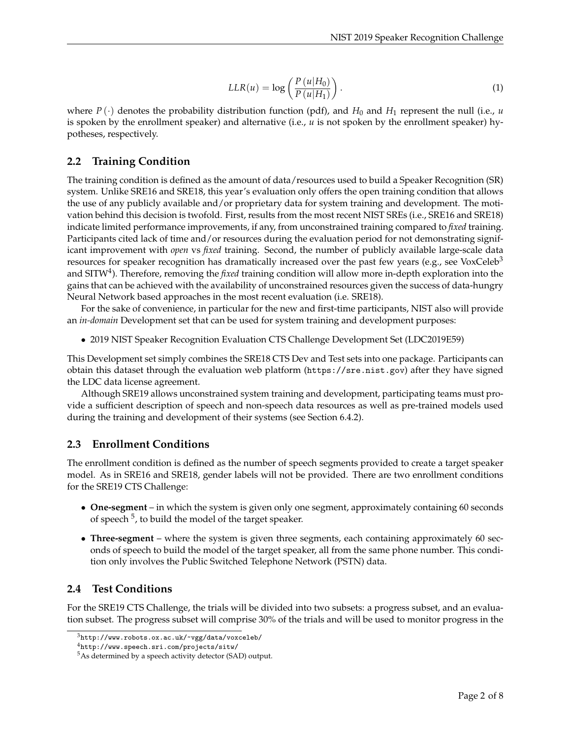$$
LLR(u) = \log\left(\frac{P(u|H_0)}{P(u|H_1)}\right).
$$
\n(1)

where  $P(\cdot)$  denotes the probability distribution function (pdf), and  $H_0$  and  $H_1$  represent the null (i.e., *u* is spoken by the enrollment speaker) and alternative (i.e., *u* is not spoken by the enrollment speaker) hypotheses, respectively.

#### **2.2 Training Condition**

The training condition is defined as the amount of data/resources used to build a Speaker Recognition (SR) system. Unlike SRE16 and SRE18, this year's evaluation only offers the open training condition that allows the use of any publicly available and/or proprietary data for system training and development. The motivation behind this decision is twofold. First, results from the most recent NIST SREs (i.e., SRE16 and SRE18) indicate limited performance improvements, if any, from unconstrained training compared to *fixed* training. Participants cited lack of time and/or resources during the evaluation period for not demonstrating significant improvement with *open* vs *fixed* training. Second, the number of publicly available large-scale data resources for speaker recognition has dramatically increased over the past few years (e.g., see VoxCeleb<sup>3</sup> and SITW<sup>4</sup>). Therefore*,* removing the *fixed* training condition will allow more in-depth exploration into the gains that can be achieved with the availability of unconstrained resources given the success of data-hungry Neural Network based approaches in the most recent evaluation (i.e. SRE18).

For the sake of convenience, in particular for the new and first-time participants, NIST also will provide an *in-domain* Development set that can be used for system training and development purposes:

• 2019 NIST Speaker Recognition Evaluation CTS Challenge Development Set (LDC2019E59)

This Development set simply combines the SRE18 CTS Dev and Test sets into one package. Participants can obtain this dataset through the evaluation web platform (https://sre.nist.gov) after they have signed the LDC data license agreement.

Although SRE19 allows unconstrained system training and development, participating teams must provide a sufficient description of speech and non-speech data resources as well as pre-trained models used during the training and development of their systems (see Section 6.4.2).

#### **2.3 Enrollment Conditions**

The enrollment condition is defined as the number of speech segments provided to create a target speaker model. As in SRE16 and SRE18, gender labels will not be provided. There are two enrollment conditions for the SRE19 CTS Challenge:

- **One-segment** in which the system is given only one segment, approximately containing 60 seconds of speech <sup>5</sup>, to build the model of the target speaker.
- **Three-segment** where the system is given three segments, each containing approximately 60 seconds of speech to build the model of the target speaker, all from the same phone number. This condition only involves the Public Switched Telephone Network (PSTN) data.

#### **2.4 Test Conditions**

For the SRE19 CTS Challenge, the trials will be divided into two subsets: a progress subset, and an evaluation subset. The progress subset will comprise 30% of the trials and will be used to monitor progress in the

<sup>3</sup>http://www.robots.ox.ac.uk/~vgg/data/voxceleb/

<sup>4</sup>http://www.speech.sri.com/projects/sitw/

<sup>5</sup>As determined by a speech activity detector (SAD) output.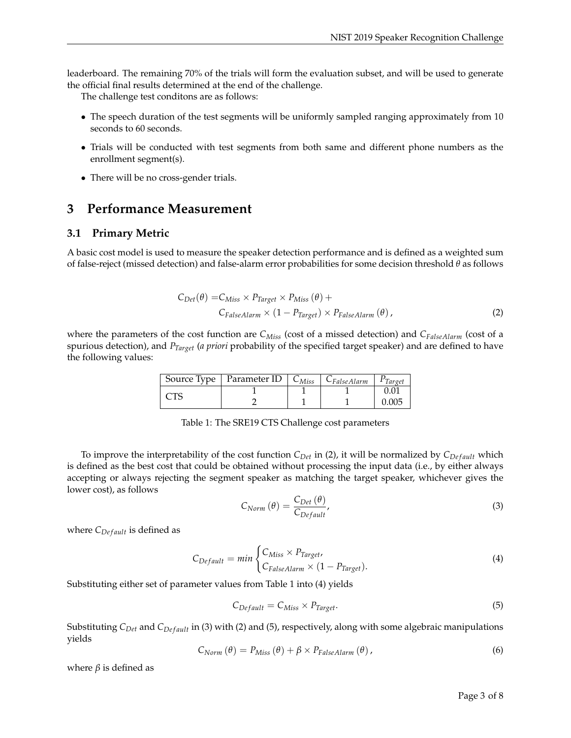leaderboard. The remaining 70% of the trials will form the evaluation subset, and will be used to generate the official final results determined at the end of the challenge.

The challenge test conditons are as follows:

- The speech duration of the test segments will be uniformly sampled ranging approximately from 10 seconds to 60 seconds.
- Trials will be conducted with test segments from both same and different phone numbers as the enrollment segment(s).
- There will be no cross-gender trials.

#### **3 Performance Measurement**

#### **3.1 Primary Metric**

A basic cost model is used to measure the speaker detection performance and is defined as a weighted sum of false-reject (missed detection) and false-alarm error probabilities for some decision threshold *θ* as follows

$$
C_{Det}(\theta) = C_{Miss} \times P_{Target} \times P_{Miss}(\theta) +
$$
  
\n
$$
C_{False Alarm} \times (1 - P_{Target}) \times P_{False Alarm}(\theta),
$$
\n(2)

where the parameters of the cost function are *CMiss* (cost of a missed detection) and *CFalseAlarm* (cost of a spurious detection), and *PTarget* (*a priori* probability of the specified target speaker) and are defined to have the following values:

|  | $\sqrt{2}$ Source Type   Parameter ID   $C_{Miss}$   $C_{False}$ Alarm |  | $\vert$ PTarget |
|--|------------------------------------------------------------------------|--|-----------------|
|  |                                                                        |  |                 |
|  |                                                                        |  | 0.005           |

Table 1: The SRE19 CTS Challenge cost parameters

To improve the interpretability of the cost function  $C_{Det}$  in (2), it will be normalized by  $C_{Def}$  *ault* which is defined as the best cost that could be obtained without processing the input data (i.e., by either always accepting or always rejecting the segment speaker as matching the target speaker, whichever gives the lower cost), as follows

$$
C_{Norm}(\theta) = \frac{C_{Det}(\theta)}{C_{Default}},
$$
\n(3)

where  $C_{Default}$  is defined as

$$
C_{Default} = min \begin{cases} C_{Miss} \times P_{Target}, \\ C_{False Alarm} \times (1 - P_{Target}). \end{cases}
$$
 (4)

Substituting either set of parameter values from Table 1 into (4) yields

$$
C_{Default} = C_{Miss} \times P_{Target}.
$$
\n
$$
(5)
$$

Substituting *C*<sub>Det</sub> and *C*<sub>Default</sub> in (3) with (2) and (5), respectively, along with some algebraic manipulations yields

$$
C_{Norm}(\theta) = P_{Miss}(\theta) + \beta \times P_{FalseAlarm}(\theta), \qquad (6)
$$

where  $\beta$  is defined as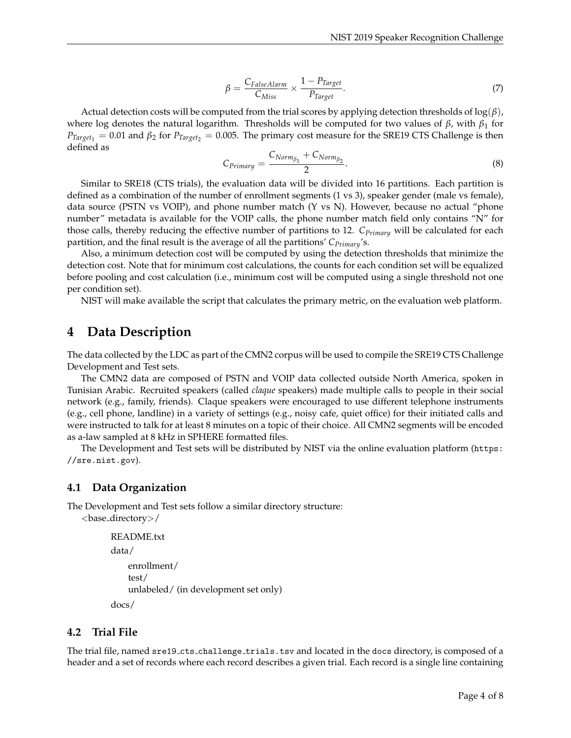$$
\beta = \frac{C_{False} \text{Alarm}}{C_{Miss}} \times \frac{1 - P_{Target}}{P_{Target}}.
$$
\n
$$
(7)
$$

Actual detection costs will be computed from the trial scores by applying detection thresholds of log(*β*), where log denotes the natural logarithm. Thresholds will be computed for two values of *β*, with *β*<sup>1</sup> for  $P_{Target_1} = 0.01$  and  $\beta_2$  for  $P_{Target_2} = 0.005$ . The primary cost measure for the SRE19 CTS Challenge is then defined as

$$
C_{Primary} = \frac{C_{Norm_{\beta_1}} + C_{Norm_{\beta_2}}}{2}.
$$
\n(8)

Similar to SRE18 (CTS trials), the evaluation data will be divided into 16 partitions. Each partition is defined as a combination of the number of enrollment segments (1 vs 3), speaker gender (male vs female), data source (PSTN vs VOIP), and phone number match (Y vs N). However, because no actual "phone number" metadata is available for the VOIP calls, the phone number match field only contains "N" for those calls, thereby reducing the effective number of partitions to 12. *CPrimary* will be calculated for each partition, and the final result is the average of all the partitions' *CPrimary*'s.

Also, a minimum detection cost will be computed by using the detection thresholds that minimize the detection cost. Note that for minimum cost calculations, the counts for each condition set will be equalized before pooling and cost calculation (i.e., minimum cost will be computed using a single threshold not one per condition set).

NIST will make available the script that calculates the primary metric, on the evaluation web platform.

## **4 Data Description**

The data collected by the LDC as part of the CMN2 corpus will be used to compile the SRE19 CTS Challenge Development and Test sets.

The CMN2 data are composed of PSTN and VOIP data collected outside North America, spoken in Tunisian Arabic. Recruited speakers (called *claque* speakers) made multiple calls to people in their social network (e.g., family, friends). Claque speakers were encouraged to use different telephone instruments (e.g., cell phone, landline) in a variety of settings (e.g., noisy cafe, quiet office) for their initiated calls and were instructed to talk for at least 8 minutes on a topic of their choice. All CMN2 segments will be encoded as a-law sampled at 8 kHz in SPHERE formatted files.

The Development and Test sets will be distributed by NIST via the online evaluation platform (https: //sre.nist.gov).

#### **4.1 Data Organization**

The Development and Test sets follow a similar directory structure:

```
<base directory>/
```

```
README.txt
data/
    enrollment/
    test/
    unlabeled/ (in development set only)
docs/
```
#### **4.2 Trial File**

The trial file, named sre19 cts challenge trials.tsv and located in the docs directory, is composed of a header and a set of records where each record describes a given trial. Each record is a single line containing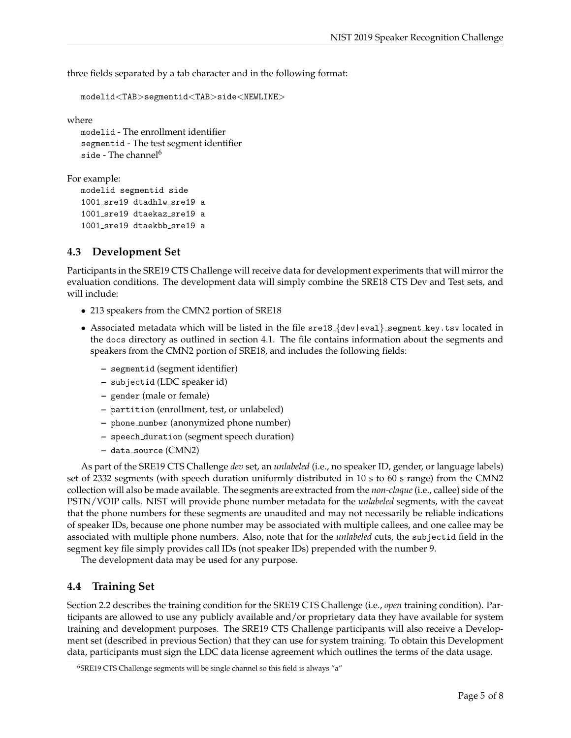three fields separated by a tab character and in the following format:

```
modelid<TAB>segmentid<TAB>side<NEWLINE>
```
where

```
modelid - The enrollment identifier
segmentid - The test segment identifier
side - The channel<sup>6</sup></sup>
```
For example:

```
modelid segmentid side
1001 sre19 dtadhlw sre19 a
1001 sre19 dtaekaz sre19 a
1001_sre19 dtaekbb_sre19 a
```
### **4.3 Development Set**

Participants in the SRE19 CTS Challenge will receive data for development experiments that will mirror the evaluation conditions. The development data will simply combine the SRE18 CTS Dev and Test sets, and will include:

- 213 speakers from the CMN2 portion of SRE18
- Associated metadata which will be listed in the file sre18 {dev|eval} segment key.tsv located in the docs directory as outlined in section 4.1. The file contains information about the segments and speakers from the CMN2 portion of SRE18, and includes the following fields:
	- **–** segmentid (segment identifier)
	- **–** subjectid (LDC speaker id)
	- **–** gender (male or female)
	- **–** partition (enrollment, test, or unlabeled)
	- **–** phone number (anonymized phone number)
	- **–** speech duration (segment speech duration)
	- **–** data source (CMN2)

As part of the SRE19 CTS Challenge *dev* set, an *unlabeled* (i.e., no speaker ID, gender, or language labels) set of 2332 segments (with speech duration uniformly distributed in 10 s to 60 s range) from the CMN2 collection will also be made available. The segments are extracted from the *non-claque* (i.e., callee) side of the PSTN/VOIP calls. NIST will provide phone number metadata for the *unlabeled* segments, with the caveat that the phone numbers for these segments are unaudited and may not necessarily be reliable indications of speaker IDs, because one phone number may be associated with multiple callees, and one callee may be associated with multiple phone numbers. Also, note that for the *unlabeled* cuts, the subjectid field in the segment key file simply provides call IDs (not speaker IDs) prepended with the number 9.

The development data may be used for any purpose.

#### **4.4 Training Set**

Section 2.2 describes the training condition for the SRE19 CTS Challenge (i.e., *open* training condition). Participants are allowed to use any publicly available and/or proprietary data they have available for system training and development purposes. The SRE19 CTS Challenge participants will also receive a Development set (described in previous Section) that they can use for system training. To obtain this Development data, participants must sign the LDC data license agreement which outlines the terms of the data usage.

<sup>&</sup>lt;sup>6</sup>SRE19 CTS Challenge segments will be single channel so this field is always "a"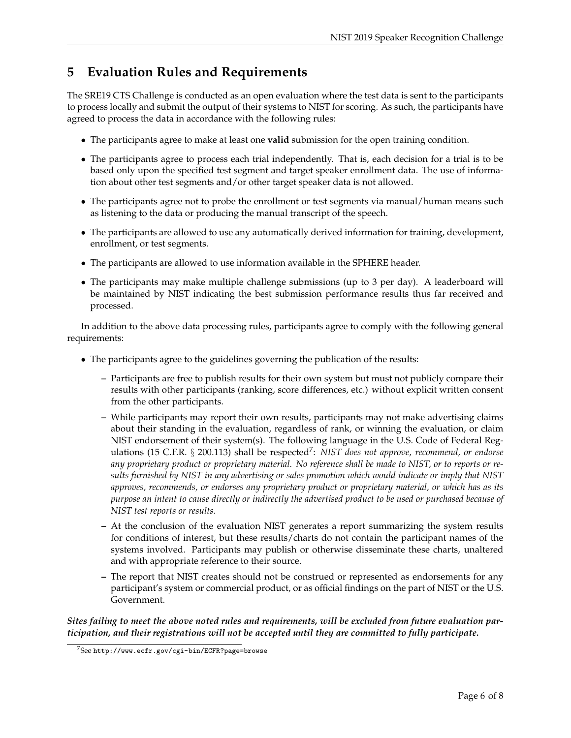## **5 Evaluation Rules and Requirements**

The SRE19 CTS Challenge is conducted as an open evaluation where the test data is sent to the participants to process locally and submit the output of their systems to NIST for scoring. As such, the participants have agreed to process the data in accordance with the following rules:

- The participants agree to make at least one **valid** submission for the open training condition.
- The participants agree to process each trial independently. That is, each decision for a trial is to be based only upon the specified test segment and target speaker enrollment data. The use of information about other test segments and/or other target speaker data is not allowed.
- The participants agree not to probe the enrollment or test segments via manual/human means such as listening to the data or producing the manual transcript of the speech.
- The participants are allowed to use any automatically derived information for training, development, enrollment, or test segments.
- The participants are allowed to use information available in the SPHERE header.
- The participants may make multiple challenge submissions (up to 3 per day). A leaderboard will be maintained by NIST indicating the best submission performance results thus far received and processed.

In addition to the above data processing rules, participants agree to comply with the following general requirements:

- The participants agree to the guidelines governing the publication of the results:
	- **–** Participants are free to publish results for their own system but must not publicly compare their results with other participants (ranking, score differences, etc.) without explicit written consent from the other participants.
	- **–** While participants may report their own results, participants may not make advertising claims about their standing in the evaluation, regardless of rank, or winning the evaluation, or claim NIST endorsement of their system(s). The following language in the U.S. Code of Federal Regulations (15 C.F.R. § 200.113) shall be respected<sup>7</sup>: NIST does not approve, recommend, or endorse *any proprietary product or proprietary material. No reference shall be made to NIST, or to reports or results furnished by NIST in any advertising or sales promotion which would indicate or imply that NIST approves, recommends, or endorses any proprietary product or proprietary material, or which has as its purpose an intent to cause directly or indirectly the advertised product to be used or purchased because of NIST test reports or results.*
	- **–** At the conclusion of the evaluation NIST generates a report summarizing the system results for conditions of interest, but these results/charts do not contain the participant names of the systems involved. Participants may publish or otherwise disseminate these charts, unaltered and with appropriate reference to their source.
	- **–** The report that NIST creates should not be construed or represented as endorsements for any participant's system or commercial product, or as official findings on the part of NIST or the U.S. Government.

*Sites failing to meet the above noted rules and requirements, will be excluded from future evaluation participation, and their registrations will not be accepted until they are committed to fully participate.*

<sup>7</sup>See http://www.ecfr.gov/cgi-bin/ECFR?page=browse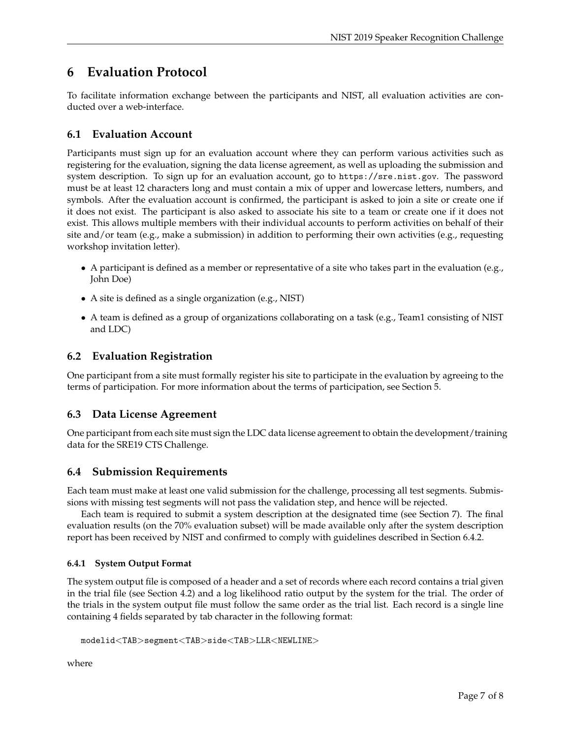## **6 Evaluation Protocol**

To facilitate information exchange between the participants and NIST, all evaluation activities are conducted over a web-interface.

### **6.1 Evaluation Account**

Participants must sign up for an evaluation account where they can perform various activities such as registering for the evaluation, signing the data license agreement, as well as uploading the submission and system description. To sign up for an evaluation account, go to https://sre.nist.gov. The password must be at least 12 characters long and must contain a mix of upper and lowercase letters, numbers, and symbols. After the evaluation account is confirmed, the participant is asked to join a site or create one if it does not exist. The participant is also asked to associate his site to a team or create one if it does not exist. This allows multiple members with their individual accounts to perform activities on behalf of their site and/or team (e.g., make a submission) in addition to performing their own activities (e.g., requesting workshop invitation letter).

- A participant is defined as a member or representative of a site who takes part in the evaluation (e.g., John Doe)
- A site is defined as a single organization (e.g., NIST)
- A team is defined as a group of organizations collaborating on a task (e.g., Team1 consisting of NIST and LDC)

### **6.2 Evaluation Registration**

One participant from a site must formally register his site to participate in the evaluation by agreeing to the terms of participation. For more information about the terms of participation, see Section 5.

#### **6.3 Data License Agreement**

One participant from each site must sign the LDC data license agreement to obtain the development/training data for the SRE19 CTS Challenge.

## **6.4 Submission Requirements**

Each team must make at least one valid submission for the challenge, processing all test segments. Submissions with missing test segments will not pass the validation step, and hence will be rejected.

Each team is required to submit a system description at the designated time (see Section 7). The final evaluation results (on the 70% evaluation subset) will be made available only after the system description report has been received by NIST and confirmed to comply with guidelines described in Section 6.4.2.

#### **6.4.1 System Output Format**

The system output file is composed of a header and a set of records where each record contains a trial given in the trial file (see Section 4.2) and a log likelihood ratio output by the system for the trial. The order of the trials in the system output file must follow the same order as the trial list. Each record is a single line containing 4 fields separated by tab character in the following format:

```
modelid<TAB>segment<TAB>side<TAB>LLR<NEWLINE>
```
where